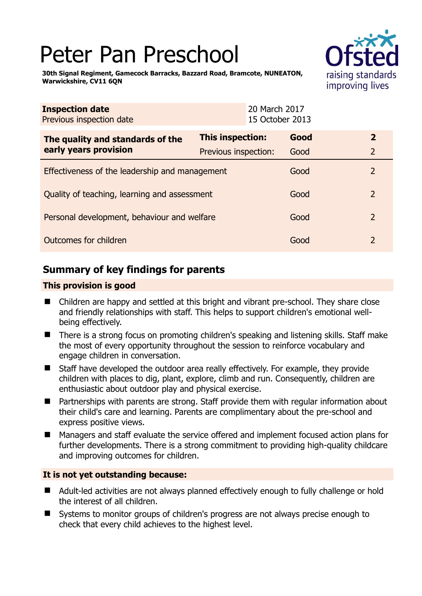# Peter Pan Preschool



**30th Signal Regiment, Gamecock Barracks, Bazzard Road, Bramcote, NUNEATON, Warwickshire, CV11 6QN** 

| <b>Inspection date</b><br>Previous inspection date        |                      | 20 March 2017<br>15 October 2013 |      |                |
|-----------------------------------------------------------|----------------------|----------------------------------|------|----------------|
| The quality and standards of the<br>early years provision | This inspection:     |                                  | Good | $\overline{2}$ |
|                                                           | Previous inspection: |                                  | Good | $\overline{2}$ |
| Effectiveness of the leadership and management            |                      |                                  | Good | 2              |
| Quality of teaching, learning and assessment              |                      |                                  | Good | 2              |
| Personal development, behaviour and welfare               |                      |                                  | Good | 2              |
| Outcomes for children                                     |                      |                                  | Good | $\overline{2}$ |

# **Summary of key findings for parents**

## **This provision is good**

- Children are happy and settled at this bright and vibrant pre-school. They share close and friendly relationships with staff. This helps to support children's emotional wellbeing effectively.
- There is a strong focus on promoting children's speaking and listening skills. Staff make the most of every opportunity throughout the session to reinforce vocabulary and engage children in conversation.
- Staff have developed the outdoor area really effectively. For example, they provide children with places to dig, plant, explore, climb and run. Consequently, children are enthusiastic about outdoor play and physical exercise.
- Partnerships with parents are strong. Staff provide them with regular information about their child's care and learning. Parents are complimentary about the pre-school and express positive views.
- Managers and staff evaluate the service offered and implement focused action plans for further developments. There is a strong commitment to providing high-quality childcare and improving outcomes for children.

## **It is not yet outstanding because:**

- Adult-led activities are not always planned effectively enough to fully challenge or hold the interest of all children.
- Systems to monitor groups of children's progress are not always precise enough to check that every child achieves to the highest level.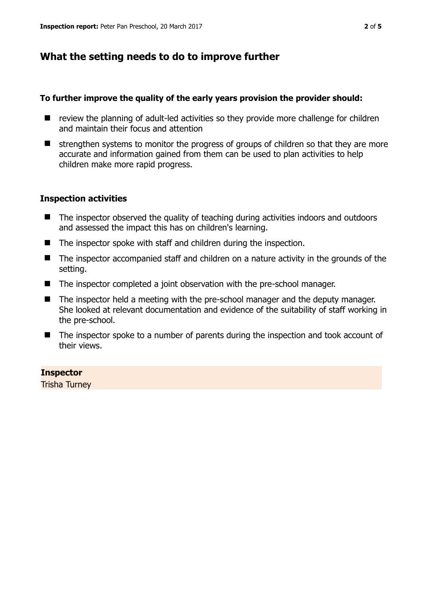## **What the setting needs to do to improve further**

#### **To further improve the quality of the early years provision the provider should:**

- review the planning of adult-led activities so they provide more challenge for children and maintain their focus and attention
- $\blacksquare$  strengthen systems to monitor the progress of groups of children so that they are more accurate and information gained from them can be used to plan activities to help children make more rapid progress.

#### **Inspection activities**

- The inspector observed the quality of teaching during activities indoors and outdoors and assessed the impact this has on children's learning.
- The inspector spoke with staff and children during the inspection.
- The inspector accompanied staff and children on a nature activity in the grounds of the setting.
- The inspector completed a joint observation with the pre-school manager.
- The inspector held a meeting with the pre-school manager and the deputy manager. She looked at relevant documentation and evidence of the suitability of staff working in the pre-school.
- The inspector spoke to a number of parents during the inspection and took account of their views.

#### **Inspector**

Trisha Turney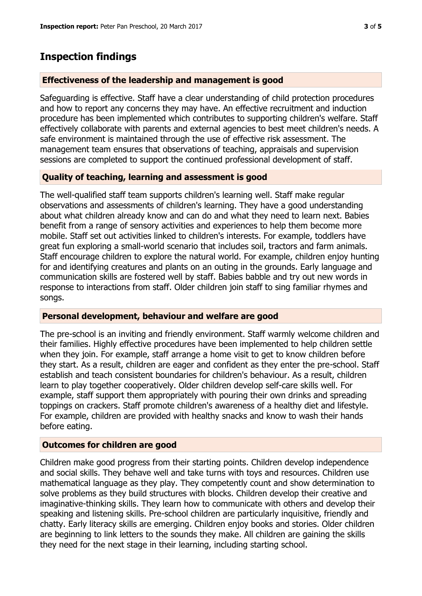## **Inspection findings**

#### **Effectiveness of the leadership and management is good**

Safeguarding is effective. Staff have a clear understanding of child protection procedures and how to report any concerns they may have. An effective recruitment and induction procedure has been implemented which contributes to supporting children's welfare. Staff effectively collaborate with parents and external agencies to best meet children's needs. A safe environment is maintained through the use of effective risk assessment. The management team ensures that observations of teaching, appraisals and supervision sessions are completed to support the continued professional development of staff.

#### **Quality of teaching, learning and assessment is good**

The well-qualified staff team supports children's learning well. Staff make regular observations and assessments of children's learning. They have a good understanding about what children already know and can do and what they need to learn next. Babies benefit from a range of sensory activities and experiences to help them become more mobile. Staff set out activities linked to children's interests. For example, toddlers have great fun exploring a small-world scenario that includes soil, tractors and farm animals. Staff encourage children to explore the natural world. For example, children enjoy hunting for and identifying creatures and plants on an outing in the grounds. Early language and communication skills are fostered well by staff. Babies babble and try out new words in response to interactions from staff. Older children join staff to sing familiar rhymes and songs.

#### **Personal development, behaviour and welfare are good**

The pre-school is an inviting and friendly environment. Staff warmly welcome children and their families. Highly effective procedures have been implemented to help children settle when they join. For example, staff arrange a home visit to get to know children before they start. As a result, children are eager and confident as they enter the pre-school. Staff establish and teach consistent boundaries for children's behaviour. As a result, children learn to play together cooperatively. Older children develop self-care skills well. For example, staff support them appropriately with pouring their own drinks and spreading toppings on crackers. Staff promote children's awareness of a healthy diet and lifestyle. For example, children are provided with healthy snacks and know to wash their hands before eating.

#### **Outcomes for children are good**

Children make good progress from their starting points. Children develop independence and social skills. They behave well and take turns with toys and resources. Children use mathematical language as they play. They competently count and show determination to solve problems as they build structures with blocks. Children develop their creative and imaginative-thinking skills. They learn how to communicate with others and develop their speaking and listening skills. Pre-school children are particularly inquisitive, friendly and chatty. Early literacy skills are emerging. Children enjoy books and stories. Older children are beginning to link letters to the sounds they make. All children are gaining the skills they need for the next stage in their learning, including starting school.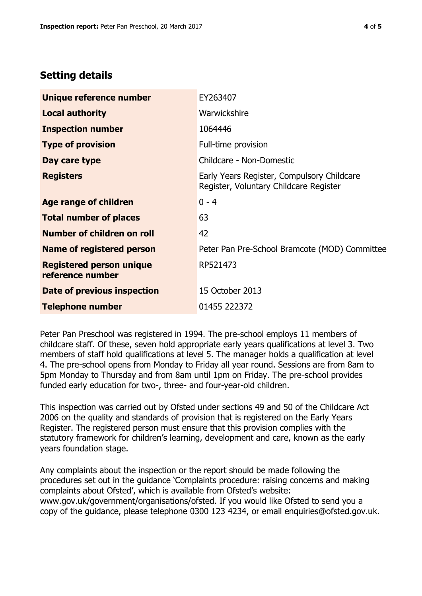# **Setting details**

| Unique reference number                             | EY263407                                                                             |  |
|-----------------------------------------------------|--------------------------------------------------------------------------------------|--|
| <b>Local authority</b>                              | Warwickshire                                                                         |  |
| <b>Inspection number</b>                            | 1064446                                                                              |  |
| <b>Type of provision</b>                            | Full-time provision                                                                  |  |
| Day care type                                       | Childcare - Non-Domestic                                                             |  |
| <b>Registers</b>                                    | Early Years Register, Compulsory Childcare<br>Register, Voluntary Childcare Register |  |
| Age range of children                               | $0 - 4$                                                                              |  |
| <b>Total number of places</b>                       | 63                                                                                   |  |
| Number of children on roll                          | 42                                                                                   |  |
| <b>Name of registered person</b>                    | Peter Pan Pre-School Bramcote (MOD) Committee                                        |  |
| <b>Registered person unique</b><br>reference number | RP521473                                                                             |  |
| Date of previous inspection                         | 15 October 2013                                                                      |  |
| <b>Telephone number</b>                             | 01455 222372                                                                         |  |

Peter Pan Preschool was registered in 1994. The pre-school employs 11 members of childcare staff. Of these, seven hold appropriate early years qualifications at level 3. Two members of staff hold qualifications at level 5. The manager holds a qualification at level 4. The pre-school opens from Monday to Friday all year round. Sessions are from 8am to 5pm Monday to Thursday and from 8am until 1pm on Friday. The pre-school provides funded early education for two-, three- and four-year-old children.

This inspection was carried out by Ofsted under sections 49 and 50 of the Childcare Act 2006 on the quality and standards of provision that is registered on the Early Years Register. The registered person must ensure that this provision complies with the statutory framework for children's learning, development and care, known as the early years foundation stage.

Any complaints about the inspection or the report should be made following the procedures set out in the guidance 'Complaints procedure: raising concerns and making complaints about Ofsted', which is available from Ofsted's website: www.gov.uk/government/organisations/ofsted. If you would like Ofsted to send you a copy of the guidance, please telephone 0300 123 4234, or email enquiries@ofsted.gov.uk.